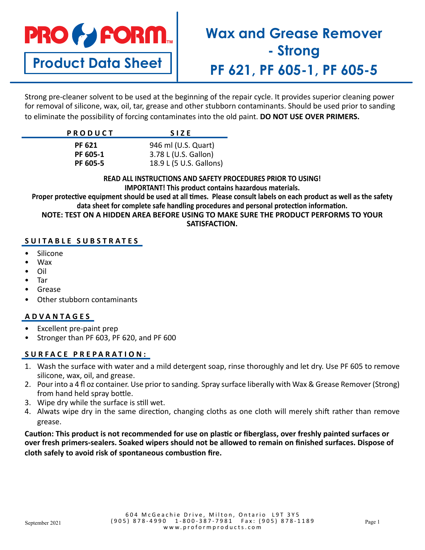# **PRO & FORM.**

**Product Data Sheet**

# **Wax and Grease Remover - Strong PF 621, PF 605-1, PF 605-5**

Strong pre-cleaner solvent to be used at the beginning of the repair cycle. It provides superior cleaning power for removal of silicone, wax, oil, tar, grease and other stubborn contaminants. Should be used prior to sanding to eliminate the possibility of forcing contaminates into the old paint. **DO NOT USE OVER PRIMERS.**

| <b>PRODUCT</b> | <b>SIZE</b>             |
|----------------|-------------------------|
| <b>PF 621</b>  | 946 ml (U.S. Quart)     |
| PF 605-1       | 3.78 L (U.S. Gallon)    |
| PF 605-5       | 18.9 L (5 U.S. Gallons) |

**READ ALL INSTRUCTIONS AND SAFETY PROCEDURES PRIOR TO USING!**

**IMPORTANT! This product contains hazardous materials.**

**Proper protective equipment should be used at all times. Please consult labels on each product as well as the safety data sheet for complete safe handling procedures and personal protection information.**

**NOTE: TEST ON A HIDDEN AREA BEFORE USING TO MAKE SURE THE PRODUCT PERFORMS TO YOUR SATISFACTION.**

## **SUITABLE SUBSTRATES**

- Silicone
- Wax
- Oil
- Tar
- Grease
- Other stubborn contaminants

### **ADVANTAGES**

- Excellent pre-paint prep
- Stronger than PF 603, PF 620, and PF 600

### **SURFACE PREPARATION:**

- 1. Wash the surface with water and a mild detergent soap, rinse thoroughly and let dry. Use PF 605 to remove silicone, wax, oil, and grease.
- 2. Pour into a 4 fl oz container. Use prior to sanding. Spray surface liberally with Wax & Grease Remover (Strong) from hand held spray bottle.
- 3. Wipe dry while the surface is still wet.
- 4. Alwats wipe dry in the same direction, changing cloths as one cloth will merely shift rather than remove grease.

**Caution: This product is not recommended for use on plastic or fiberglass, over freshly painted surfaces or over fresh primers-sealers. Soaked wipers should not be allowed to remain on finished surfaces. Dispose of cloth safely to avoid risk of spontaneous combustion fire.**